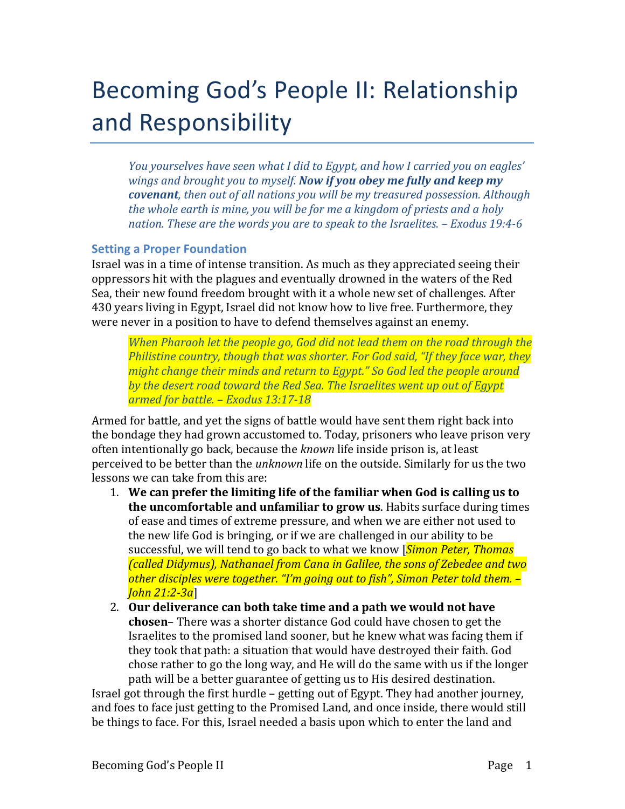# Becoming God's People II: Relationship and Responsibility

*You* yourselves have seen what I did to Egypt, and how I carried you on eagles' *wings and brought you to myself. Now if you obey me fully and keep my covenant,* then out of all nations you will be my treasured possession. Although *the* whole earth is mine, you will be for me a kingdom of priests and a holy *nation. These are the words you are to speak to the Israelites. – Exodus 19:4-6*

# **Setting a Proper Foundation**

Israel was in a time of intense transition. As much as they appreciated seeing their oppressors hit with the plagues and eventually drowned in the waters of the Red Sea, their new found freedom brought with it a whole new set of challenges. After 430 years living in Egypt, Israel did not know how to live free. Furthermore, they were never in a position to have to defend themselves against an enemy.

*When Pharaoh let the people go, God did not lead them on the road through the Philistine country, though that was shorter. For God said, "If they face war, they might change their minds and return to Egypt."* So God led the people around *by the desert road toward the Red Sea. The Israelites went up out of Egypt armed for battle. – Exodus 13:17-18*

Armed for battle, and yet the signs of battle would have sent them right back into the bondage they had grown accustomed to. Today, prisoners who leave prison very often intentionally go back, because the *known* life inside prison is, at least perceived to be better than the *unknown* life on the outside. Similarly for us the two lessons we can take from this are:

- 1. We can prefer the limiting life of the familiar when God is calling us to **the uncomfortable and unfamiliar to grow us.** Habits surface during times of ease and times of extreme pressure, and when we are either not used to the new life God is bringing, or if we are challenged in our ability to be successful, we will tend to go back to what we know [*Simon Peter, Thomas (called Didymus), Nathanael from Cana in Galilee, the sons of Zebedee and two* other disciples were together. "I'm going out to fish", Simon Peter told them. -*John 21:2-3a*]
- 2. Our deliverance can both take time and a path we would not have **chosen**– There was a shorter distance God could have chosen to get the Israelites to the promised land sooner, but he knew what was facing them if they took that path: a situation that would have destroyed their faith. God chose rather to go the long way, and He will do the same with us if the longer path will be a better guarantee of getting us to His desired destination.

Israel got through the first hurdle - getting out of Egypt. They had another journey, and foes to face just getting to the Promised Land, and once inside, there would still be things to face. For this, Israel needed a basis upon which to enter the land and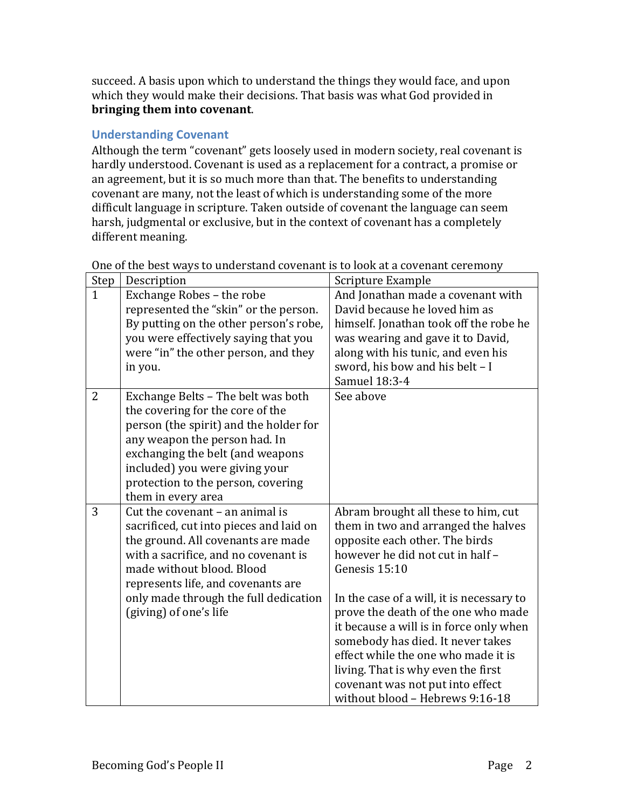succeed. A basis upon which to understand the things they would face, and upon which they would make their decisions. That basis was what God provided in **bringing them into covenant.** 

# **Understanding Covenant**

Although the term "covenant" gets loosely used in modern society, real covenant is hardly understood. Covenant is used as a replacement for a contract, a promise or an agreement, but it is so much more than that. The benefits to understanding covenant are many, not the least of which is understanding some of the more difficult language in scripture. Taken outside of covenant the language can seem harsh, judgmental or exclusive, but in the context of covenant has a completely different meaning.

| Step           | Description                             | Scripture Example                         |
|----------------|-----------------------------------------|-------------------------------------------|
| $\mathbf{1}$   | Exchange Robes - the robe               | And Jonathan made a covenant with         |
|                | represented the "skin" or the person.   | David because he loved him as             |
|                | By putting on the other person's robe,  | himself. Jonathan took off the robe he    |
|                | you were effectively saying that you    | was wearing and gave it to David,         |
|                | were "in" the other person, and they    | along with his tunic, and even his        |
|                | in you.                                 | sword, his bow and his belt - I           |
|                |                                         | Samuel 18:3-4                             |
| $\overline{2}$ | Exchange Belts - The belt was both      | See above                                 |
|                | the covering for the core of the        |                                           |
|                | person (the spirit) and the holder for  |                                           |
|                | any weapon the person had. In           |                                           |
|                | exchanging the belt (and weapons        |                                           |
|                | included) you were giving your          |                                           |
|                | protection to the person, covering      |                                           |
|                | them in every area                      |                                           |
| 3              | Cut the covenant - an animal is         | Abram brought all these to him, cut       |
|                | sacrificed, cut into pieces and laid on | them in two and arranged the halves       |
|                | the ground. All covenants are made      | opposite each other. The birds            |
|                | with a sacrifice, and no covenant is    | however he did not cut in half -          |
|                | made without blood. Blood               | Genesis 15:10                             |
|                | represents life, and covenants are      |                                           |
|                | only made through the full dedication   | In the case of a will, it is necessary to |
|                | (giving) of one's life                  | prove the death of the one who made       |
|                |                                         | it because a will is in force only when   |
|                |                                         | somebody has died. It never takes         |
|                |                                         | effect while the one who made it is       |
|                |                                         | living. That is why even the first        |
|                |                                         | covenant was not put into effect          |
|                |                                         | without blood - Hebrews 9:16-18           |

One of the best ways to understand covenant is to look at a covenant ceremony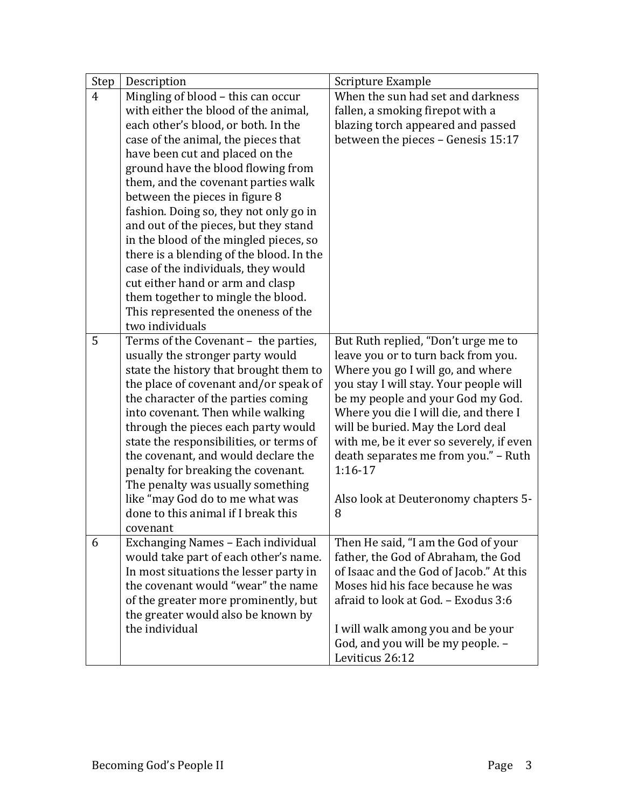| Step | Description                                                                 | Scripture Example                                                          |
|------|-----------------------------------------------------------------------------|----------------------------------------------------------------------------|
| 4    | Mingling of blood - this can occur                                          | When the sun had set and darkness                                          |
|      | with either the blood of the animal,                                        | fallen, a smoking firepot with a                                           |
|      | each other's blood, or both. In the                                         | blazing torch appeared and passed                                          |
|      | case of the animal, the pieces that                                         | between the pieces - Genesis 15:17                                         |
|      | have been cut and placed on the                                             |                                                                            |
|      | ground have the blood flowing from                                          |                                                                            |
|      | them, and the covenant parties walk                                         |                                                                            |
|      | between the pieces in figure 8                                              |                                                                            |
|      | fashion. Doing so, they not only go in                                      |                                                                            |
|      | and out of the pieces, but they stand                                       |                                                                            |
|      | in the blood of the mingled pieces, so                                      |                                                                            |
|      | there is a blending of the blood. In the                                    |                                                                            |
|      | case of the individuals, they would                                         |                                                                            |
|      | cut either hand or arm and clasp                                            |                                                                            |
|      | them together to mingle the blood.                                          |                                                                            |
|      | This represented the oneness of the                                         |                                                                            |
|      | two individuals                                                             |                                                                            |
| 5    | Terms of the Covenant - the parties,                                        | But Ruth replied, "Don't urge me to                                        |
|      | usually the stronger party would                                            | leave you or to turn back from you.                                        |
|      | state the history that brought them to                                      | Where you go I will go, and where                                          |
|      | the place of covenant and/or speak of                                       | you stay I will stay. Your people will                                     |
|      | the character of the parties coming                                         | be my people and your God my God.                                          |
|      | into covenant. Then while walking                                           | Where you die I will die, and there I                                      |
|      | through the pieces each party would                                         | will be buried. May the Lord deal                                          |
|      | state the responsibilities, or terms of                                     | with me, be it ever so severely, if even                                   |
|      | the covenant, and would declare the                                         | death separates me from you." - Ruth                                       |
|      | penalty for breaking the covenant.                                          | 1:16-17                                                                    |
|      | The penalty was usually something                                           |                                                                            |
|      | like "may God do to me what was                                             | Also look at Deuteronomy chapters 5-                                       |
|      | done to this animal if I break this                                         | 8                                                                          |
|      | covenant                                                                    |                                                                            |
| 6    | Exchanging Names - Each individual<br>would take part of each other's name. | Then He said, "I am the God of your<br>father, the God of Abraham, the God |
|      | In most situations the lesser party in                                      | of Isaac and the God of Jacob." At this                                    |
|      | the covenant would "wear" the name                                          | Moses hid his face because he was                                          |
|      |                                                                             | afraid to look at God. - Exodus 3:6                                        |
|      | of the greater more prominently, but<br>the greater would also be known by  |                                                                            |
|      | the individual                                                              | I will walk among you and be your                                          |
|      |                                                                             | God, and you will be my people. -                                          |
|      |                                                                             | Leviticus 26:12                                                            |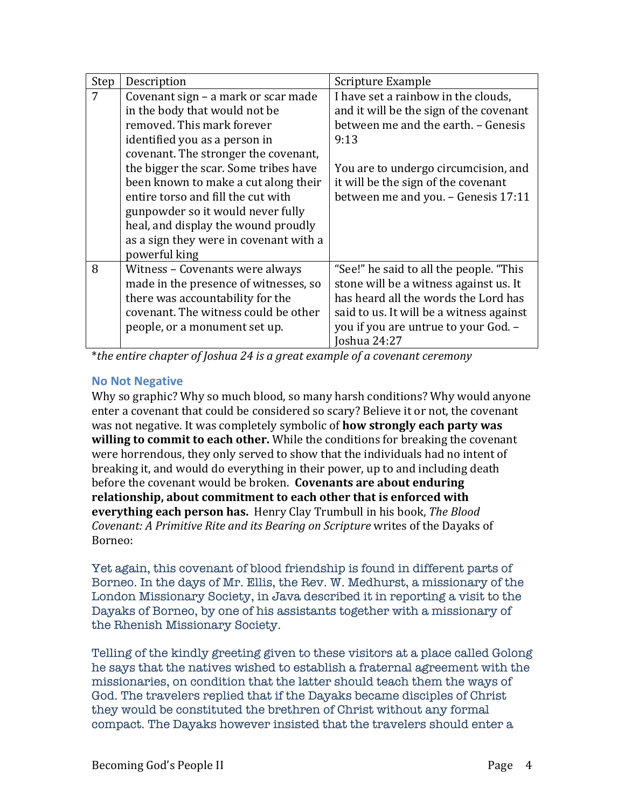| Step | Description                            | Scripture Example                        |
|------|----------------------------------------|------------------------------------------|
| 7    | Covenant sign - a mark or scar made    | I have set a rainbow in the clouds,      |
|      | in the body that would not be          | and it will be the sign of the covenant  |
|      | removed. This mark forever             | between me and the earth. - Genesis      |
|      | identified you as a person in          | 9:13                                     |
|      | covenant. The stronger the covenant,   |                                          |
|      | the bigger the scar. Some tribes have  | You are to undergo circumcision, and     |
|      | been known to make a cut along their   | it will be the sign of the covenant      |
|      | entire torso and fill the cut with     | between me and you. - Genesis 17:11      |
|      | gunpowder so it would never fully      |                                          |
|      | heal, and display the wound proudly    |                                          |
|      | as a sign they were in covenant with a |                                          |
|      | powerful king                          |                                          |
| 8    | Witness – Covenants were always        | "See!" he said to all the people. "This  |
|      | made in the presence of witnesses, so  | stone will be a witness against us. It   |
|      | there was accountability for the       | has heard all the words the Lord has     |
|      | covenant. The witness could be other   | said to us. It will be a witness against |
|      | people, or a monument set up.          | you if you are untrue to your God. -     |
|      |                                        | oshua 24:27                              |

\**the entire chapter of Joshua 24 is a great example of a covenant ceremony*

## **No Not Negative**

Why so graphic? Why so much blood, so many harsh conditions? Why would anyone enter a covenant that could be considered so scary? Believe it or not, the covenant was not negative. It was completely symbolic of **how strongly each party was willing to commit to each other.** While the conditions for breaking the covenant were horrendous, they only served to show that the individuals had no intent of breaking it, and would do everything in their power, up to and including death before the covenant would be broken. **Covenants are about enduring** relationship, about commitment to each other that is enforced with **everything each person has.** Henry Clay Trumbull in his book, The Blood *Covenant: A Primitive Rite and its Bearing on Scripture* writes of the Dayaks of Borneo: 

Yet again, this covenant of blood friendship is found in different parts of Borneo. In the days of Mr. Ellis, the Rev. W. Medhurst, a missionary of the London Missionary Society, in Java described it in reporting a visit to the Dayaks of Borneo, by one of his assistants together with a missionary of the Rhenish Missionary Society.

Telling of the kindly greeting given to these visitors at a place called Golong he says that the natives wished to establish a fraternal agreement with the missionaries, on condition that the latter should teach them the ways of God. The travelers replied that if the Dayaks became disciples of Christ they would be constituted the brethren of Christ without any formal compact. The Dayaks however insisted that the travelers should enter a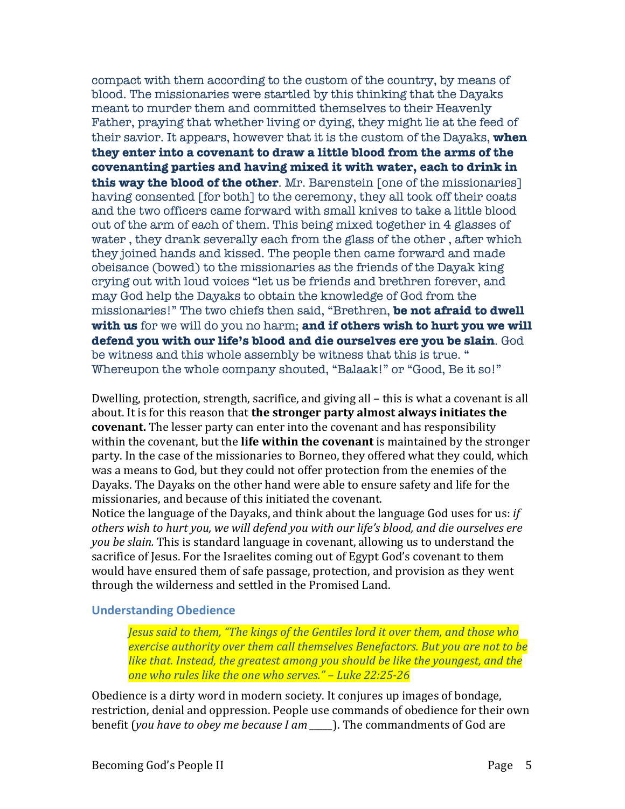compact with them according to the custom of the country, by means of blood. The missionaries were startled by this thinking that the Dayaks meant to murder them and committed themselves to their Heavenly Father, praying that whether living or dying, they might lie at the feed of their savior. It appears, however that it is the custom of the Dayaks, **when they enter into a covenant to draw a little blood from the arms of the covenanting parties and having mixed it with water, each to drink in this way the blood of the other**. Mr. Barenstein [one of the missionaries] having consented [for both] to the ceremony, they all took off their coats and the two officers came forward with small knives to take a little blood out of the arm of each of them. This being mixed together in 4 glasses of water , they drank severally each from the glass of the other , after which they joined hands and kissed. The people then came forward and made obeisance (bowed) to the missionaries as the friends of the Dayak king crying out with loud voices "let us be friends and brethren forever, and may God help the Dayaks to obtain the knowledge of God from the missionaries!" The two chiefs then said, "Brethren, **be not afraid to dwell with us** for we will do you no harm; **and if others wish to hurt you we will defend you with our life's blood and die ourselves ere you be slain**. God be witness and this whole assembly be witness that this is true. " Whereupon the whole company shouted, "Balaak!" or "Good, Be it so!"

Dwelling, protection, strength, sacrifice, and giving all – this is what a covenant is all about. It is for this reason that **the stronger party almost always initiates the covenant.** The lesser party can enter into the covenant and has responsibility within the covenant, but the **life within the covenant** is maintained by the stronger party. In the case of the missionaries to Borneo, they offered what they could, which was a means to God, but they could not offer protection from the enemies of the Dayaks. The Dayaks on the other hand were able to ensure safety and life for the missionaries, and because of this initiated the covenant.

Notice the language of the Dayaks, and think about the language God uses for us: *if* others wish to hurt you, we will defend you with our life's blood, and die ourselves ere *you be slain.* This is standard language in covenant, allowing us to understand the sacrifice of Jesus. For the Israelites coming out of Egypt God's covenant to them would have ensured them of safe passage, protection, and provision as they went through the wilderness and settled in the Promised Land.

#### **Understanding Obedience**

*Jesus said to them, "The kings of the Gentiles lord it over them, and those who exercise authority over them call themselves Benefactors. But you are not to be like that. Instead, the greatest among you should be like the youngest, and the one who rules like the one who serves." – Luke 22:25-26*

Obedience is a dirty word in modern society. It conjures up images of bondage, restriction, denial and oppression. People use commands of obedience for their own benefit (*you have to obey me because I am* \_\_\_\_\_). The commandments of God are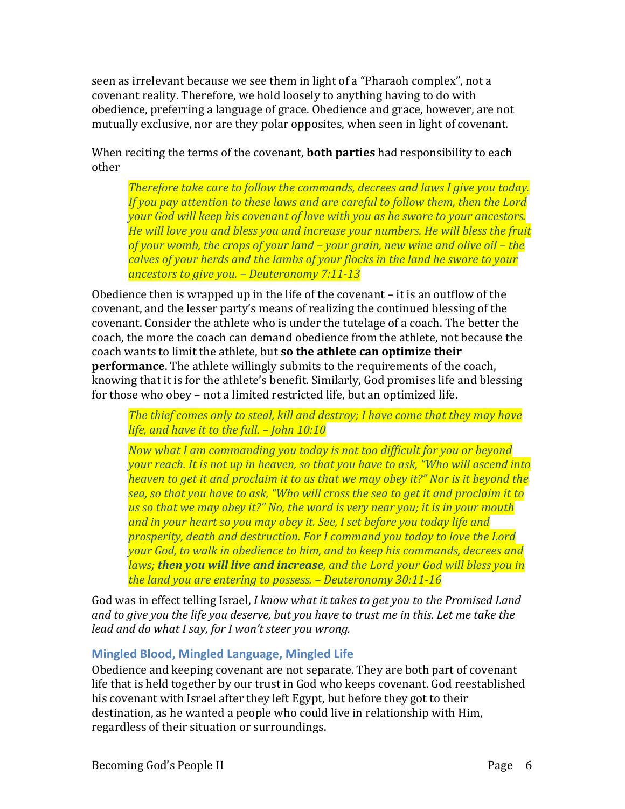seen as irrelevant because we see them in light of a "Pharaoh complex", not a covenant reality. Therefore, we hold loosely to anything having to do with obedience, preferring a language of grace. Obedience and grace, however, are not mutually exclusive, nor are they polar opposites, when seen in light of covenant.

# When reciting the terms of the covenant, **both parties** had responsibility to each other

*Therefore take care to follow the commands, decrees and laws I give you today. If* you pay attention to these laws and are careful to follow them, then the Lord *your God will keep his covenant of love with you as he swore to your ancestors. He* will love you and bless you and increase your numbers. He will bless the fruit *of your womb, the crops of your land – your grain, new wine and olive oil – the calves of your herds and the lambs of your flocks in the land he swore to your ancestors to give you.* – *Deuteronomy* 7:11-13

Obedience then is wrapped up in the life of the covenant  $-$  it is an outflow of the covenant, and the lesser party's means of realizing the continued blessing of the covenant. Consider the athlete who is under the tutelage of a coach. The better the coach, the more the coach can demand obedience from the athlete, not because the coach wants to limit the athlete, but so the athlete can optimize their **performance**. The athlete willingly submits to the requirements of the coach, knowing that it is for the athlete's benefit. Similarly, God promises life and blessing for those who obey – not a limited restricted life, but an optimized life.

*The thief comes only to steal, kill and destroy; I have come that they may have life, and have it to the full.* – *John 10:10* 

*Now what I am commanding you today is not too difficult for you or beyond your reach.* It is not up in heaven, so that you have to ask, "Who will ascend into *heaven to get it and proclaim it to us that we may obey it?" Nor is it beyond the* **sea, so that you have to ask, "Who will cross the sea to get it and proclaim it to** us so that we may obey it?" No, the word is very near you; it is in your mouth and in your heart so you may obey it. See, I set before you today life and *prosperity, death and destruction. For I command you today to love the Lord your God, to walk in obedience to him, and to keep his commands, decrees and laws;* then you will live and increase, and the Lord your God will bless you in *the land you are entering to possess. – Deuteronomy 30:11-16*

God was in effect telling Israel, *I know what it takes to get you to the Promised Land* and to give you the life you deserve, but you have to trust me in this. Let me take the *lead and do what I say, for I won't steer you wrong.* 

# **Mingled Blood, Mingled Language, Mingled Life**

Obedience and keeping covenant are not separate. They are both part of covenant life that is held together by our trust in God who keeps covenant. God reestablished his covenant with Israel after they left Egypt, but before they got to their destination, as he wanted a people who could live in relationship with Him, regardless of their situation or surroundings.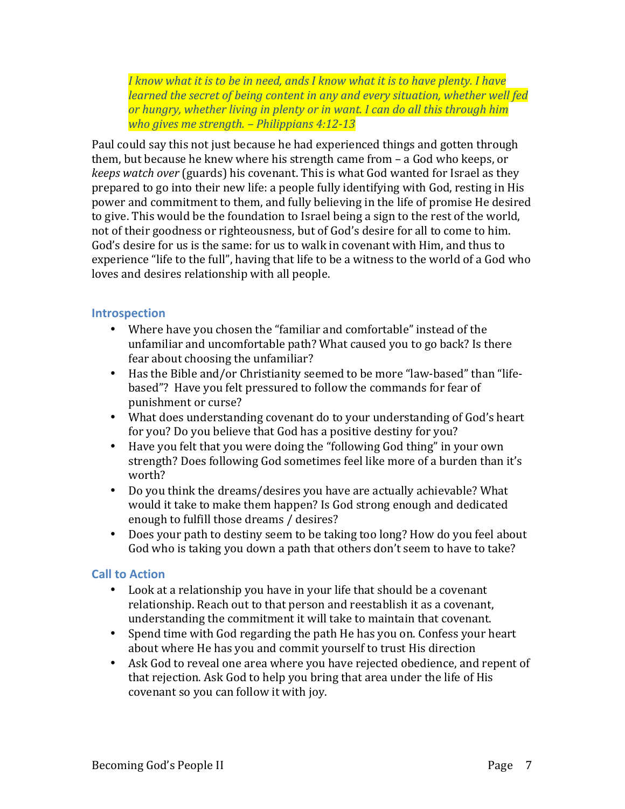*I* know what it is to be in need, ands I know what it is to have plenty. I have *learned the secret of being content in any and every situation, whether well fed* or hungry, whether living in plenty or in want. I can do all this through him *who gives me strength.* – *Philippians 4:12-13* 

Paul could say this not just because he had experienced things and gotten through them, but because he knew where his strength came from  $-$  a God who keeps, or *keeps* watch over (guards) his covenant. This is what God wanted for Israel as they prepared to go into their new life: a people fully identifying with God, resting in His power and commitment to them, and fully believing in the life of promise He desired to give. This would be the foundation to Israel being a sign to the rest of the world, not of their goodness or righteousness, but of God's desire for all to come to him. God's desire for us is the same: for us to walk in covenant with Him, and thus to experience "life to the full", having that life to be a witness to the world of a God who loves and desires relationship with all people.

## **Introspection**

- Where have you chosen the "familiar and comfortable" instead of the unfamiliar and uncomfortable path? What caused you to go back? Is there fear about choosing the unfamiliar?
- Has the Bible and/or Christianity seemed to be more "law-based" than "lifebased"? Have you felt pressured to follow the commands for fear of punishment or curse?
- What does understanding covenant do to your understanding of God's heart for you? Do you believe that God has a positive destiny for you?
- Have you felt that you were doing the "following God thing" in your own strength? Does following God sometimes feel like more of a burden than it's worth?
- Do you think the dreams/desires you have are actually achievable? What would it take to make them happen? Is God strong enough and dedicated enough to fulfill those dreams / desires?
- Does your path to destiny seem to be taking too long? How do you feel about God who is taking you down a path that others don't seem to have to take?

### **Call to Action**

- Look at a relationship you have in your life that should be a covenant relationship. Reach out to that person and reestablish it as a covenant, understanding the commitment it will take to maintain that covenant.
- Spend time with God regarding the path He has you on. Confess your heart about where He has you and commit yourself to trust His direction
- Ask God to reveal one area where you have rejected obedience, and repent of that rejection. Ask God to help you bring that area under the life of His covenant so you can follow it with joy.